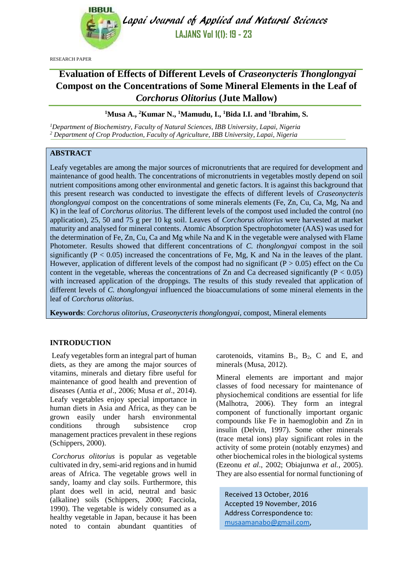

Lapai Journal of Applied and Natural Sciences **LAJANS Vol 1(1): 19 - 23**

RESEARCH PAPER

# **Evaluation of Effects of Different Levels of** *Craseonycteris Thonglongyai* **Compost on the Concentrations of Some Mineral Elements in the Leaf of**  *Corchorus Olitorius* **(Jute Mallow)**

### **<sup>1</sup>Musa A., <sup>2</sup>Kumar N., <sup>1</sup>Mamudu, I., <sup>1</sup>Bida I.I. and <sup>1</sup> Ibrahim, S.**

*<sup>1</sup>Department of Biochemistry, Faculty of Natural Sciences, IBB University, Lapai, Nigeria <sup>2</sup> Department of Crop Production, Faculty of Agriculture, IBB University, Lapai, Nigeria*

#### **ABSTRACT**

Leafy vegetables are among the major sources of micronutrients that are required for development and maintenance of good health. The concentrations of micronutrients in vegetables mostly depend on soil nutrient compositions among other environmental and genetic factors. It is against this background that this present research was conducted to investigate the effects of different levels of *Craseonycteris thonglongyai* compost on the concentrations of some minerals elements (Fe, Zn, Cu, Ca, Mg, Na and K) in the leaf of *Corchorus olitorius*. The different levels of the compost used included the control (no application), 25, 50 and 75 g per 10 kg soil. Leaves of *Corchorus olitorius* were harvested at market maturity and analysed for mineral contents. Atomic Absorption Spectrophotometer (AAS) was used for the determination of Fe, Zn, Cu, Ca and Mg while Na and K in the vegetable were analysed with Flame Photometer. Results showed that different concentrations of *C. thonglongyai* compost in the soil significantly ( $P < 0.05$ ) increased the concentrations of Fe, Mg, K and Na in the leaves of the plant. However, application of different levels of the compost had no significant  $(P > 0.05)$  effect on the Cu content in the vegetable, whereas the concentrations of Zn and Ca decreased significantly ( $P < 0.05$ ) with increased application of the droppings. The results of this study revealed that application of different levels of *C. thonglongyai* influenced the bioaccumulations of some mineral elements in the leaf of *Corchorus olitorius*.

**Keywords**: *Corchorus olitorius, Craseonycteris thonglongyai*, compost, Mineral elements

## **INTRODUCTION**

Leafy vegetables form an integral part of human diets, as they are among the major sources of vitamins, minerals and dietary fibre useful for maintenance of good health and prevention of diseases (Antia *et al*., 2006; Musa *et al*., 2014). Leafy vegetables enjoy special importance in human diets in Asia and Africa, as they can be grown easily under harsh environmental conditions through subsistence crop management practices prevalent in these regions (Schippers, 2000).

*Corchorus olitorius* is popular as vegetable cultivated in dry, semi-arid regions and in humid areas of Africa. The vegetable grows well in sandy, loamy and clay soils. Furthermore, this plant does well in acid, neutral and basic (alkaline) soils (Schippers, 2000; Facciola, 1990). The vegetable is widely consumed as a healthy vegetable in Japan, because it has been noted to contain abundant quantities of carotenoids, vitamins  $B_1$ ,  $B_2$ , C and E, and minerals (Musa, 2012).

Mineral elements are important and major classes of food necessary for maintenance of physiochemical conditions are essential for life (Malhotra, 2006). They form an integral component of functionally important organic compounds like Fe in haemoglobin and Zn in insulin (Delvin, 1997). Some other minerals (trace metal ions) play significant roles in the activity of some protein (notably enzymes) and other biochemical roles in the biological systems (Ezeonu *et al*., 2002; Obiajunwa *et al.,* 2005). They are also essential for normal functioning of

Received 13 October, 2016 Accepted 19 November, 2016 Address Correspondence to: [musaamanabo@gmail.com,](mailto:musaamanabo@gmail.com)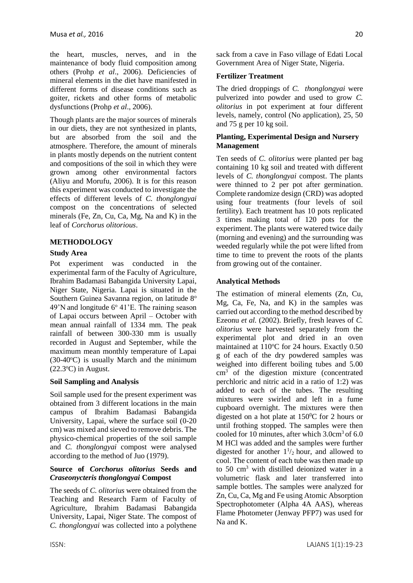the heart, muscles, nerves, and in the maintenance of body fluid composition among others (Prohp *et al*., 2006). Deficiencies of mineral elements in the diet have manifested in different forms of disease conditions such as goiter, rickets and other forms of metabolic dysfunctions (Prohp *et al*., 2006).

Though plants are the major sources of minerals in our diets, they are not synthesized in plants, but are absorbed from the soil and the atmosphere. Therefore, the amount of minerals in plants mostly depends on the nutrient content and compositions of the soil in which they were grown among other environmental factors (Aliyu and Morufu, 2006). It is for this reason this experiment was conducted to investigate the effects of different levels of *C. thonglongyai* compost on the concentrations of selected minerals (Fe, Zn, Cu, Ca, Mg, Na and K) in the leaf of *Corchorus olitorious*.

## **METHODOLOGY**

## **Study Area**

Pot experiment was conducted in the experimental farm of the Faculty of Agriculture, Ibrahim Badamasi Babangida University Lapai, Niger State, Nigeria. Lapai is situated in the Southern Guinea Savanna region, on latitude 8°  $49'$ N and longitude  $6^{\circ}$  41'E. The raining season of Lapai occurs between April – October with mean annual rainfall of 1334 mm. The peak rainfall of between 300-330 mm is usually recorded in August and September, while the maximum mean monthly temperature of Lapai  $(30-40\degree C)$  is usually March and the minimum  $(22.3$ <sup>o</sup>C) in August.

#### **Soil Sampling and Analysis**

Soil sample used for the present experiment was obtained from 3 different locations in the main campus of Ibrahim Badamasi Babangida University, Lapai, where the surface soil (0-20 cm) was mixed and sieved to remove debris. The physico-chemical properties of the soil sample and *C. thonglongyai* compost were analysed according to the method of Juo (1979).

#### **Source of** *Corchorus olitorius* **Seeds and**  *Craseonycteris thonglongyai* **Compost**

The seeds of *C. olitorius* were obtained from the Teaching and Research Farm of Faculty of Agriculture, Ibrahim Badamasi Babangida University, Lapai, Niger State. The compost of *C. thonglongyai* was collected into a polythene sack from a cave in Faso village of Edati Local Government Area of Niger State, Nigeria.

### **Fertilizer Treatment**

The dried droppings of *C. thonglongyai* were pulverized into powder and used to grow *C. olitorius* in pot experiment at four different levels, namely, control (No application), 25, 50 and 75 g per 10 kg soil.

### **Planting, Experimental Design and Nursery Management**

Ten seeds of *C. olitorius* were planted per bag containing 10 kg soil and treated with different levels of *C. thonglongyai* compost. The plants were thinned to 2 per pot after germination. Complete randomize design (CRD) was adopted using four treatments (four levels of soil fertility). Each treatment has 10 pots replicated 3 times making total of 120 pots for the experiment. The plants were watered twice daily (morning and evening) and the surrounding was weeded regularly while the pot were lifted from time to time to prevent the roots of the plants from growing out of the container.

## **Analytical Methods**

The estimation of mineral elements (Zn, Cu, Mg, Ca, Fe, Na, and K) in the samples was carried out according to the method described by Ezeonu *et al.* (2002). Briefly, fresh leaves of *C. olitorius* were harvested separately from the experimental plot and dried in an oven maintained at 110°C for 24 hours. Exactly 0.50 g of each of the dry powdered samples was weighed into different boiling tubes and 5.00 cm<sup>3</sup> of the digestion mixture (concentrated perchloric and nitric acid in a ratio of 1:2) was added to each of the tubes. The resulting mixtures were swirled and left in a fume cupboard overnight. The mixtures were then digested on a hot plate at  $150^{\circ}$ C for 2 hours or until frothing stopped. The samples were then cooled for 10 minutes, after which  $3.0 \text{cm}^3$  of 6.0 M HCl was added and the samples were further digested for another  $1\frac{1}{2}$  hour, and allowed to cool. The content of each tube was then made up to 50 cm<sup>3</sup> with distilled deionized water in a volumetric flask and later transferred into sample bottles. The samples were analyzed for Zn, Cu, Ca, Mg and Fe using Atomic Absorption Spectrophotometer (Alpha 4A AAS), whereas Flame Photometer (Jenway PFP7) was used for Na and K.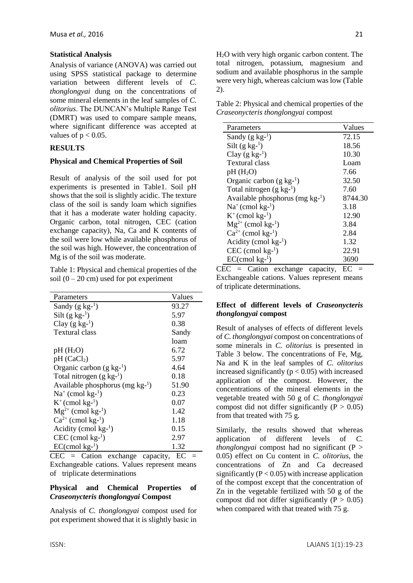Analysis of variance (ANOVA) was carried out using SPSS statistical package to determine variation between different levels of *C. thonglongyai* dung on the concentrations of some mineral elements in the leaf samples of *C. olitorius*. The DUNCAN's Multiple Range Test (DMRT) was used to compare sample means, where significant difference was accepted at values of  $p < 0.05$ .

## **RESULTS**

## **Physical and Chemical Properties of Soil**

Result of analysis of the soil used for pot experiments is presented in Table1. Soil pH shows that the soil is slightly acidic. The texture class of the soil is sandy loam which signifies that it has a moderate water holding capacity. Organic carbon, total nitrogen, CEC (cation exchange capacity), Na, Ca and K contents of the soil were low while available phosphorus of the soil was high. However, the concentration of Mg is of the soil was moderate.

Table 1: Physical and chemical properties of the soil  $(0 - 20$  cm) used for pot experiment

| Parameters                           | Values |
|--------------------------------------|--------|
| Sandy $(g \ kg^{-1})$                | 93.27  |
| Silt $(g \text{ kg}^{-1})$           | 5.97   |
| Clay $(g \ kg^{-1})$                 | 0.38   |
| <b>Textural class</b>                | Sandy  |
|                                      | loam   |
| $pH(H_2O)$                           | 6.72   |
| pH (CaCl <sub>2</sub> )              | 5.97   |
| Organic carbon $(g \text{ kg}^{-1})$ | 4.64   |
| Total nitrogen $(g \text{ kg}^{-1})$ | 0.18   |
| Available phosphorus (mg $kg^{-1}$ ) | 51.90  |
| $Na^+$ (cmol kg- <sup>1</sup> )      | 0.23   |
| $K^+$ (cmol kg- <sup>1</sup> )       | 0.07   |
| $Mg^{2+}$ (cmol kg- <sup>1</sup> )   | 1.42   |
| $Ca^{2+}$ (cmol kg- <sup>1</sup> )   | 1.18   |
| Acidity (cmol $kg^{-1}$ )            | 0.15   |
| $CEC$ (cmol kg- <sup>1</sup> )       | 2.97   |
| $EC$ (cmol kg- <sup>1</sup> )        | 1.32   |

 $CEC = \text{Cation}$  exchange capacity,  $EC =$ Exchangeable cations. Values represent means of triplicate determinations

#### **Physical and Chemical Properties of**  *Craseonycteris thonglongyai* **Compost**

Analysis of *C. thonglongyai* compost used for pot experiment showed that it is slightly basic in

H2O with very high organic carbon content. The total nitrogen, potassium, magnesium and sodium and available phosphorus in the sample were very high, whereas calcium was low (Table 2).

Table 2: Physical and chemical properties of the *Craseonycteris thonglongyai* compost

| Parameters                           | Values  |
|--------------------------------------|---------|
| Sandy $(g \ kg^{-1})$                | 72.15   |
| Silt $(g \text{ kg}^{-1})$           | 18.56   |
| Clay $(g \ kg^{-1})$                 | 10.30   |
| Textural class                       | Loam    |
| $pH(H_2O)$                           | 7.66    |
| Organic carbon $(g \text{ kg-}1)$    | 32.50   |
| Total nitrogen $(g \text{ kg-}1)$    | 7.60    |
| Available phosphorus (mg $kg^{-1}$ ) | 8744.30 |
| $Na^+$ (cmol kg- <sup>1</sup> )      | 3.18    |
| $K^+$ (cmol kg- <sup>1</sup> )       | 12.90   |
| $Mg^{2+}$ (cmol kg- <sup>1</sup> )   | 3.84    |
| $Ca^{2+}$ (cmol kg- <sup>1</sup> )   | 2.84    |
| Acidity (cmol $kg^{-1}$ )            | 1.32    |
| $CEC$ (cmol $kg^{-1}$ )              | 22.91   |
| $EC$ (cmol kg- <sup>1</sup> )        | 3690    |

 $CEC = \text{Cation}$  exchange capacity,  $EC =$ Exchangeable cations. Values represent means of triplicate determinations.

#### **Effect of different levels of** *Craseonycteris thonglongyai* **compost**

Result of analyses of effects of different levels of *C. thonglongyai* compost on concentrations of some minerals in *C. olitorius* is presented in Table 3 below. The concentrations of Fe, Mg, Na and K in the leaf samples of *C. olitorius* increased significantly  $(p < 0.05)$  with increased application of the compost. However, the concentrations of the mineral elements in the vegetable treated with 50 g of *C. thonglongyai* compost did not differ significantly ( $P > 0.05$ ) from that treated with 75 g.

Similarly, the results showed that whereas application of different levels of *C. thonglongyai* compost had no significant (P > 0.05) effect on Cu content in *C. olitorius*, the concentrations of Zn and Ca decreased significantly  $(P < 0.05)$  with increase application of the compost except that the concentration of Zn in the vegetable fertilized with 50 g of the compost did not differ significantly ( $P > 0.05$ ) when compared with that treated with 75 g.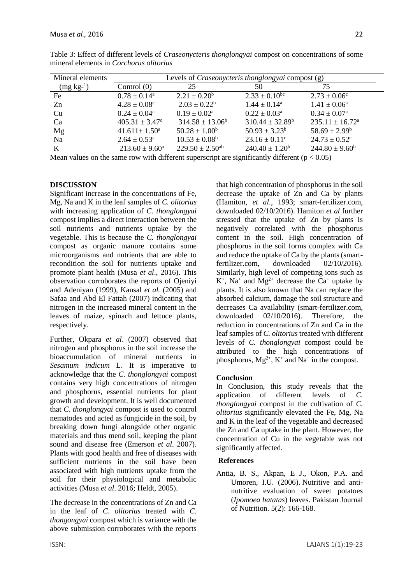| Mineral elements | Levels of <i>Craseonycteris thonglongyai</i> compost (g) |                                 |                            |                               |  |
|------------------|----------------------------------------------------------|---------------------------------|----------------------------|-------------------------------|--|
| $(mg kg-1)$      | Control $(0)$                                            | 25                              | 50                         | 75                            |  |
| Fe               | $0.78 \pm 0.14^{\text{a}}$                               | $2.21 \pm 0.20^b$               | $2.33 \pm 0.10^{bc}$       | $2.73 \pm 0.06^{\circ}$       |  |
| Zn               | $4.28 \pm 0.08^{\circ}$                                  | $2.03 \pm 0.22^b$               | $1.44 \pm 0.14^a$          | $1.41 \pm 0.06^{\text{a}}$    |  |
| Cu               | $0.24 \pm 0.04^{\text{a}}$                               | $0.19 \pm 0.02^{\text{a}}$      | $0.22 \pm 0.03^{\text{a}}$ | $0.34 \pm 0.07^{\rm a}$       |  |
| Ca               | $405.31 \pm 3.47$ °                                      | $314.58 \pm 13.06^b$            | $310.44 \pm 32.89^b$       | $235.11 \pm 16.72^{\text{a}}$ |  |
| Mg               | $41.611 \pm 1.50^a$                                      | $50.28 \pm 1.00^b$              | $50.93 \pm 3.23^b$         | $58.69 \pm 2.99^b$            |  |
| Na               | $2.64 \pm 0.53^{\circ}$                                  | $10.53 \pm 0.08^b$              | $23.16 \pm 0.11^{\circ}$   | $24.73 \pm 0.52$ °            |  |
| K                | $213.60 \pm 9.60^a$                                      | $229.50 \pm 2.50$ <sup>ab</sup> | $240.40 \pm 1.20^b$        | $244.80 \pm 9.60^b$           |  |

Table 3: Effect of different levels of *Craseonycteris thonglongyai* compost on concentrations of some mineral elements in *Corchorus olitorius* 

Mean values on the same row with different superscript are significantly different ( $p < 0.05$ )

#### **DISCUSSION**

Significant increase in the concentrations of Fe, Mg, Na and K in the leaf samples of *C. olitorius* with increasing application of *C. thonglongyai* compost implies a direct interaction between the soil nutrients and nutrients uptake by the vegetable. This is because the *C. thonglongyai* compost as organic manure contains some microorganisms and nutrients that are able to recondition the soil for nutrients uptake and promote plant health (Musa *et al*., 2016). This observation corroborates the reports of Ojeniyi and Adeniyan (1999), Kansal *et al.* (2005) and Safaa and Abd El Fattah (2007) indicating that nitrogen in the increased mineral content in the leaves of maize, spinach and lettuce plants, respectively.

Further, Okpara *et al*. (2007) observed that nitrogen and phosphorus in the soil increase the bioaccumulation of mineral nutrients in *Sesamum indicum* L. It is imperative to acknowledge that the *C. thonglongyai* compost contains very high concentrations of nitrogen and phosphorus, essential nutrients for plant growth and development. It is well documented that *C. thonglongyai* compost is used to control nematodes and acted as fungicide in the soil, by breaking down fungi alongside other organic materials and thus mend soil, keeping the plant sound and disease free (Emerson *et al*. 2007). Plants with good health and free of diseases with sufficient nutrients in the soil have been associated with high nutrients uptake from the soil for their physiological and metabolic activities (Musa *et al*. 2016; Heldt, 2005).

The decrease in the concentrations of Zn and Ca in the leaf of *C*. *olitorius* treated with *C. thongongyai* compost which is variance with the above submission corroborates with the reports

that high concentration of phosphorus in the soil decrease the uptake of Zn and Ca by plants (Hamiton, *et al*., 1993; smart-fertilizer.com, downloaded 02/10/2016). Hamiton *et al* further stressed that the uptake of Zn by plants is negatively correlated with the phosphorus content in the soil. High concentration of phosphorus in the soil forms complex with Ca and reduce the uptake of Ca by the plants (smartfertilizer.com, downloaded 02/10/2016). Similarly, high level of competing ions such as  $K^+$ , Na<sup>+</sup> and Mg<sup>2+</sup> decrease the Ca<sup>+</sup> uptake by plants. It is also known that Na can replace the absorbed calcium, damage the soil structure and decreases Ca availability (smart-fertilizer.com, downloaded 02/10/2016). Therefore, the reduction in concentrations of Zn and Ca in the leaf samples of *C. olitorius* treated with different levels of *C. thonglongyai* compost could be attributed to the high concentrations of phosphorus,  $Mg^{2+}$ ,  $K^+$  and  $Na^+$  in the compost.

## **Conclusion**

In Conclusion, this study reveals that the application of different levels of *C. thonglongyai* compost in the cultivation of *C. olitorius* significantly elevated the Fe, Mg, Na and K in the leaf of the vegetable and decreased the Zn and Ca uptake in the plant. However, the concentration of Cu in the vegetable was not significantly affected.

## **References**

Antia, B. S., Akpan, E J., Okon, P.A. and Umoren, I.U. (2006). Nutritive and antinutritive evaluation of sweet potatoes (*Ipomoea batatas*) leaves. Pakistan Journal of Nutrition. 5(2): 166-168.